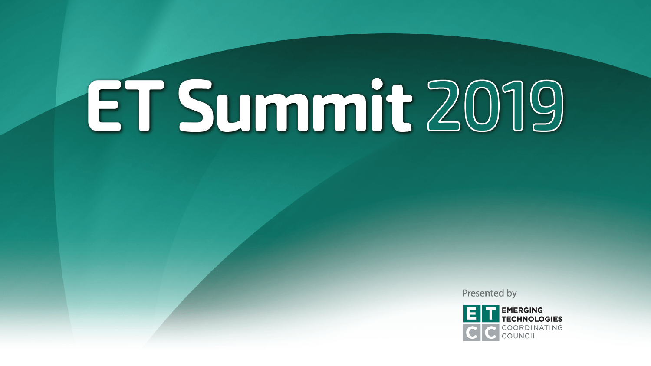Presented by

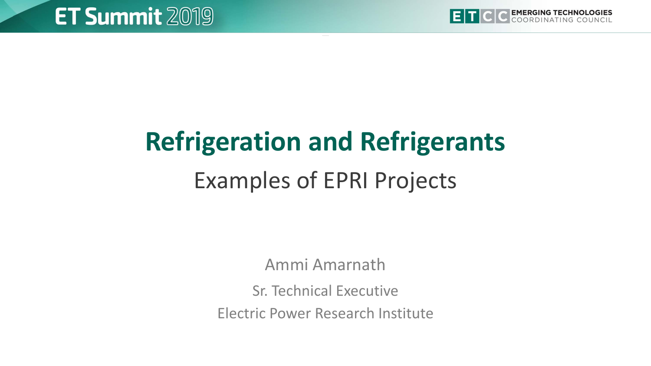

# **Refrigeration and Refrigerants** Examples of EPRI Projects

Ammi Amarnath

Sr. Technical Executive

Electric Power Research Institute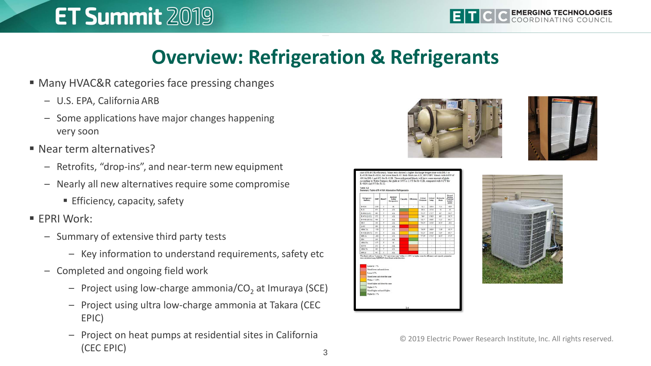# **Overview: Refrigeration & Refrigerants**

- Many HVAC&R categories face pressing changes
	- U.S. EPA, California ARB
	- Some applications have major changes happening very soon
- Near term alternatives?
	- Retrofits, "drop-ins", and near-term new equipment
	- Nearly all new alternatives require some compromise
		- **Efficiency, capacity, safety**
- **FPRI Work:** 
	- Summary of extensive third party tests
		- Key information to understand requirements, safety etc
	- Completed and ongoing field work
		- $-$  Project using low-charge ammonia/CO<sub>2</sub> at Imuraya (SCE)
		- Project using ultra low-charge ammonia at Takara (CEC EPIC)
		- Project on heat pumps at residential sites in California (CEC EPIC)







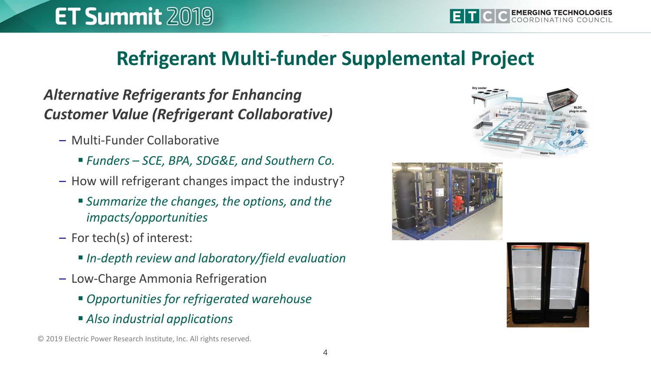## **Refrigerant Multi-funder Supplemental Project**

## *Alternative Refrigerants for Enhancing Customer Value (Refrigerant Collaborative)*

- Multi-Funder Collaborative
	- *Funders – SCE, BPA, SDG&E, and Southern Co.*
- How will refrigerant changes impact the industry?
	- *Summarize the changes, the options, and the impacts/opportunities*
- For tech(s) of interest:
	- *In-depth review and laboratory/field evaluation*
- Low-Charge Ammonia Refrigeration
	- *Opportunities for refrigerated warehouse*
	- *Also industrial applications*







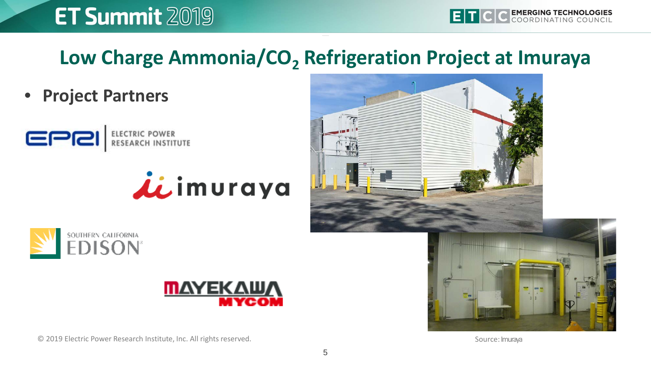# Low Charge Ammonia/CO<sub>2</sub> Refrigeration Project at Imuraya

• **Project Partners**











© 2019 Electric Power Research Institute, Inc. All rights reserved.

Source: Imuraya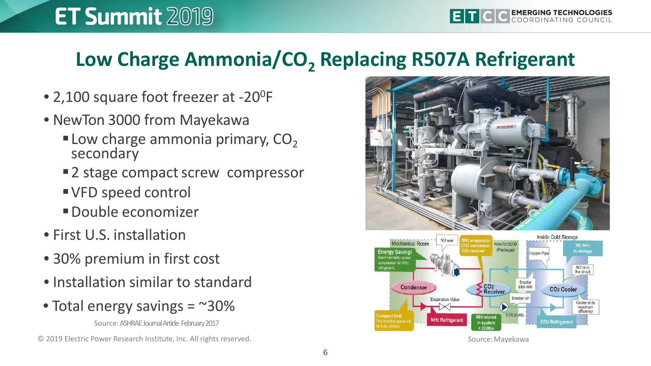# Low Charge Ammonia/CO<sub>2</sub> Replacing R507A Refrigerant

- 2,100 square foot freezer at -20<sup>0</sup>F
- NewTon 3000 from Mayekawa
	- **Low charge ammonia primary,**  $CO<sub>2</sub>$ secondary
	- 2 stage compact screw compressor
	- VFD speed control
	- Double economizer
- First U.S. installation
- 30% premium in first cost
- Installation similar to standard
- Total energy savings  $=$  ~30%

Source:ASHRAE Journal Article February 2017

© 2019 Electric Power Research Institute, Inc. All rights reserved.





Source:Mayekawa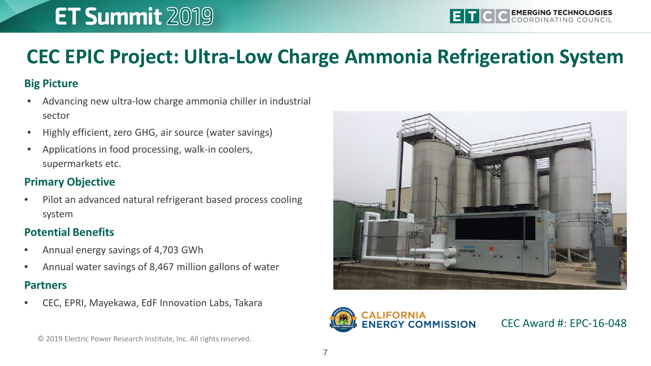# **CEC EPIC Project: Ultra-Low Charge Ammonia Refrigeration System**

#### **Big Picture**

- Advancing new ultra-low charge ammonia chiller in industrial sector
- Highly efficient, zero GHG, air source (water savings)
- Applications in food processing, walk-in coolers, supermarkets etc.

#### **Primary Objective**

• Pilot an advanced natural refrigerant based process cooling system

#### **Potential Benefits**

- Annual energy savings of 4,703 GWh
- Annual water savings of 8,467 million gallons of water

#### **Partners**

• CEC, EPRI, Mayekawa, EdF Innovation Labs, Takara





CEC Award #: EPC-16-048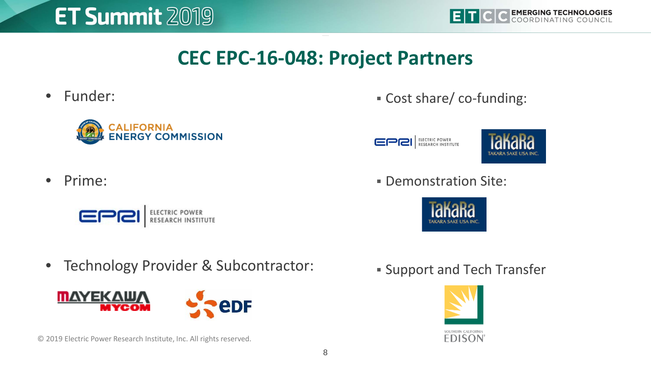



## **CEC EPC-16-048: Project Partners**

• Funder:





EPRI ELECTRIC POWER



- Prime:
	- EPRI ELECTRIC POWER

Demonstration Site:



• Technology Provider & Subcontractor:



© 2019 Electric Power Research Institute, Inc. All rights reserved.

**Support and Tech Transfer** 

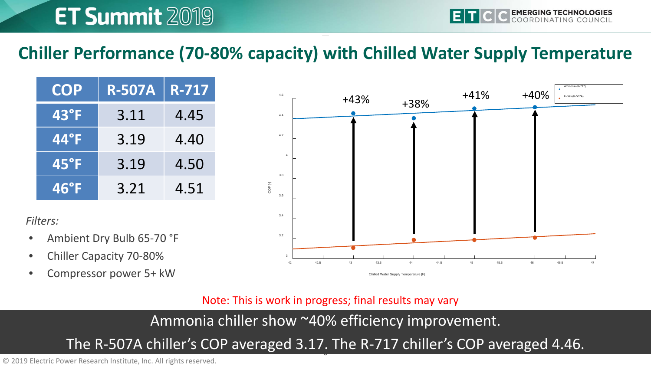## **Chiller Performance (70-80% capacity) with Chilled Water Supply Temperature**

| <b>COP</b>     | <b>R-507A</b> | <b>R-717</b> |
|----------------|---------------|--------------|
| $43^{\circ}$ F | 3.11          | 4.45         |
| <b>44°E</b>    | 3.19          | 4.40         |
| $45^{\circ}$ F | 3.19          | 4.50         |
| $46°$ F        | 3.21          | 4.51         |

*Filters:*

- Ambient Dry Bulb 65-70 °F
- Chiller Capacity 70-80%
- Compressor power 5+ kW



Note: This is work in progress; final results may vary

Ammonia chiller show ~40% efficiency improvement.

## The R-507A chiller's COP averaged 3.17. The R-717 chiller's COP averaged 4.46.

© 2019 Electric Power Research Institute, Inc. All rights reserved.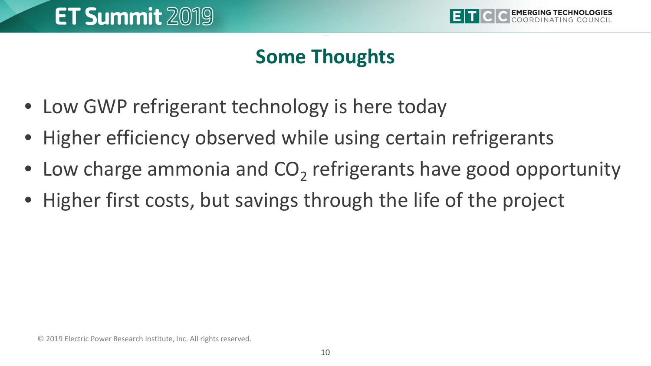

# **Some Thoughts**

- Low GWP refrigerant technology is here today
- Higher efficiency observed while using certain refrigerants
- Low charge ammonia and  $CO<sub>2</sub>$  refrigerants have good opportunity
- Higher first costs, but savings through the life of the project